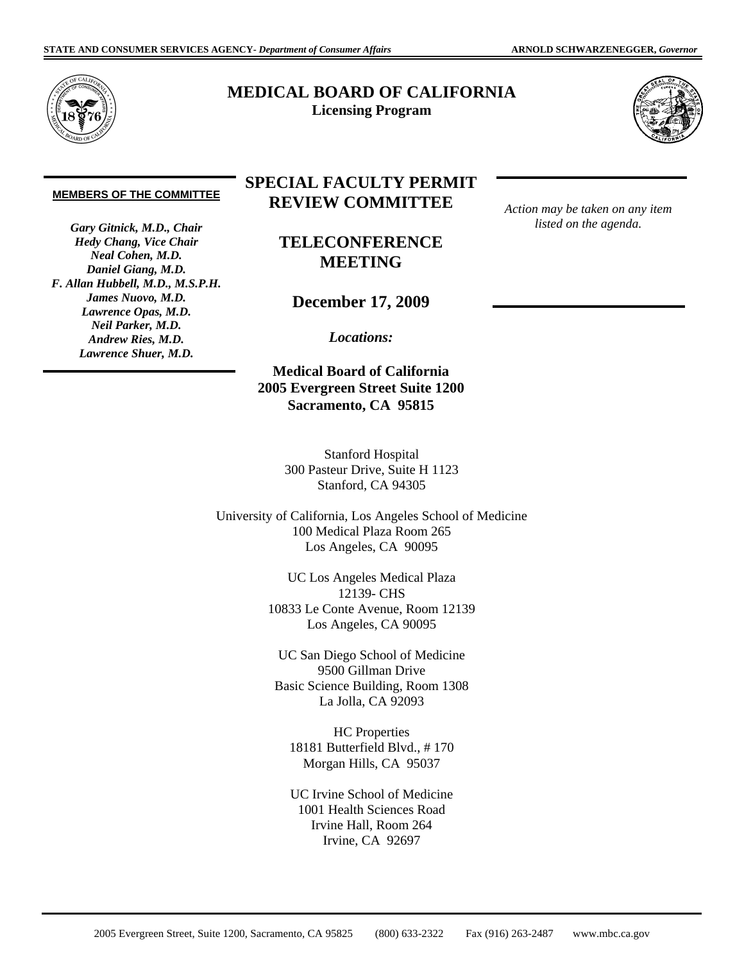

## **MEDICAL BOARD OF CALIFORNIA Licensing Program**



## **MEMBERS OF THE COMMITTEE**

*Gary Gitnick, M.D., Chair Hedy Chang, Vice Chair Neal Cohen, M.D. Daniel Giang, M.D. F. Allan Hubbell, M.D., M.S.P.H. James Nuovo, M.D. Lawrence Opas, M.D. Neil Parker, M.D. Andrew Ries, M.D. Lawrence Shuer, M.D.* 

## **SPECIAL FACULTY PERMIT REVIEW COMMITTEE**

**TELECONFERENCE MEETING** 

**December 17, 2009** 

*Locations:* 

**Medical Board of California 2005 Evergreen Street Suite 1200 Sacramento, CA 95815** 

> Stanford Hospital 300 Pasteur Drive, Suite H 1123 Stanford, CA 94305

University of California, Los Angeles School of Medicine 100 Medical Plaza Room 265 Los Angeles, CA 90095

> UC Los Angeles Medical Plaza 12139- CHS 10833 Le Conte Avenue, Room 12139 Los Angeles, CA 90095

UC San Diego School of Medicine 9500 Gillman Drive Basic Science Building, Room 1308 La Jolla, CA 92093

HC Properties 18181 Butterfield Blvd., # 170 Morgan Hills, CA 95037

UC Irvine School of Medicine 1001 Health Sciences Road Irvine Hall, Room 264 Irvine, CA 92697

*Action may be taken on any item listed on the agenda.* 

2005 Evergreen Street, Suite 1200, Sacramento, CA 95825 (800) 633-2322 Fax (916) 263-2487 <www.mbc.ca.gov>